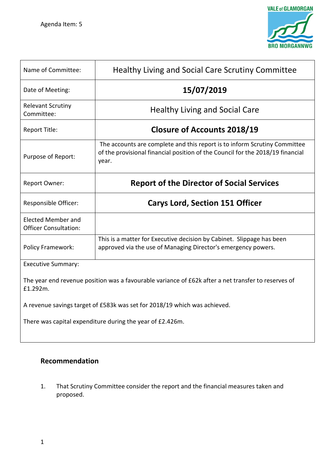

| Name of Committee:                                                                                              | Healthy Living and Social Care Scrutiny Committee                                                                                                                    |  |  |  |  |  |
|-----------------------------------------------------------------------------------------------------------------|----------------------------------------------------------------------------------------------------------------------------------------------------------------------|--|--|--|--|--|
| Date of Meeting:                                                                                                | 15/07/2019                                                                                                                                                           |  |  |  |  |  |
| <b>Relevant Scrutiny</b><br>Committee:                                                                          | <b>Healthy Living and Social Care</b>                                                                                                                                |  |  |  |  |  |
| Report Title:                                                                                                   | <b>Closure of Accounts 2018/19</b>                                                                                                                                   |  |  |  |  |  |
| Purpose of Report:                                                                                              | The accounts are complete and this report is to inform Scrutiny Committee<br>of the provisional financial position of the Council for the 2018/19 financial<br>year. |  |  |  |  |  |
| Report Owner:                                                                                                   | <b>Report of the Director of Social Services</b>                                                                                                                     |  |  |  |  |  |
| Responsible Officer:                                                                                            | <b>Carys Lord, Section 151 Officer</b>                                                                                                                               |  |  |  |  |  |
| Elected Member and<br><b>Officer Consultation:</b>                                                              |                                                                                                                                                                      |  |  |  |  |  |
| Policy Framework:                                                                                               | This is a matter for Executive decision by Cabinet. Slippage has been<br>approved via the use of Managing Director's emergency powers.                               |  |  |  |  |  |
| <b>Executive Summary:</b>                                                                                       |                                                                                                                                                                      |  |  |  |  |  |
| The year end revenue position was a favourable variance of £62k after a net transfer to reserves of<br>£1.292m. |                                                                                                                                                                      |  |  |  |  |  |
| A revenue savings target of £583k was set for 2018/19 which was achieved.                                       |                                                                                                                                                                      |  |  |  |  |  |
| There was capital expenditure during the year of £2.426m.                                                       |                                                                                                                                                                      |  |  |  |  |  |

# **Recommendation**

1. That Scrutiny Committee consider the report and the financial measures taken and proposed.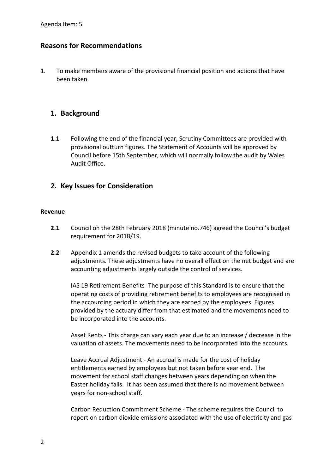# **Reasons for Recommendations**

1. To make members aware of the provisional financial position and actions that have been taken.

# **1. Background**

**1.1** Following the end of the financial year, Scrutiny Committees are provided with provisional outturn figures. The Statement of Accounts will be approved by Council before 15th September, which will normally follow the audit by Wales Audit Office.

# **2. Key Issues for Consideration**

## **Revenue**

- **2.1** Council on the 28th February 2018 (minute no.746) agreed the Council's budget requirement for 2018/19.
- **2.2** Appendix 1 amends the revised budgets to take account of the following adjustments. These adjustments have no overall effect on the net budget and are accounting adjustments largely outside the control of services.

IAS 19 Retirement Benefits -The purpose of this Standard is to ensure that the operating costs of providing retirement benefits to employees are recognised in the accounting period in which they are earned by the employees. Figures provided by the actuary differ from that estimated and the movements need to be incorporated into the accounts.

Asset Rents - This charge can vary each year due to an increase / decrease in the valuation of assets. The movements need to be incorporated into the accounts.

Leave Accrual Adjustment - An accrual is made for the cost of holiday entitlements earned by employees but not taken before year end. The movement for school staff changes between years depending on when the Easter holiday falls. It has been assumed that there is no movement between years for non-school staff.

Carbon Reduction Commitment Scheme - The scheme requires the Council to report on carbon dioxide emissions associated with the use of electricity and gas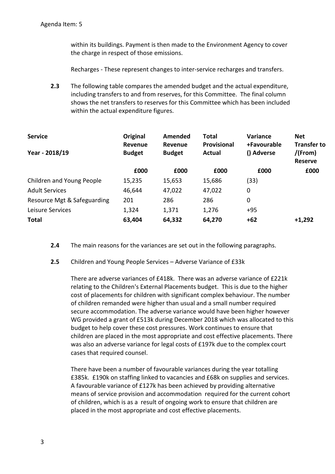within its buildings. Payment is then made to the Environment Agency to cover the charge in respect of those emissions.

Recharges - These represent changes to inter-service recharges and transfers.

**2.3** The following table compares the amended budget and the actual expenditure, including transfers to and from reserves, for this Committee. The final column shows the net transfers to reserves for this Committee which has been included within the actual expenditure figures.

| <b>Service</b>              | Original<br>Revenue | Amended<br>Revenue | <b>Total</b><br>Provisional | Variance<br>+Favourable | <b>Net</b><br><b>Transfer to</b> |
|-----------------------------|---------------------|--------------------|-----------------------------|-------------------------|----------------------------------|
| Year - 2018/19              | <b>Budget</b>       | <b>Budget</b>      | <b>Actual</b>               | () Adverse              | $/$ (From)<br><b>Reserve</b>     |
|                             | £000                | £000               | £000                        | £000                    | £000                             |
| Children and Young People   | 15,235              | 15,653             | 15,686                      | (33)                    |                                  |
| <b>Adult Services</b>       | 46,644              | 47,022             | 47,022                      | 0                       |                                  |
| Resource Mgt & Safeguarding | 201                 | 286                | 286                         | 0                       |                                  |
| Leisure Services            | 1,324               | 1,371              | 1,276                       | $+95$                   |                                  |
| <b>Total</b>                | 63,404              | 64,332             | 64,270                      | $+62$                   | $+1,292$                         |

- **2.4** The main reasons for the variances are set out in the following paragraphs.
- **2.5** Children and Young People Services Adverse Variance of £33k

There are adverse variances of £418k. There was an adverse variance of £221k relating to the Children's External Placements budget. This is due to the higher cost of placements for children with significant complex behaviour. The number of children remanded were higher than usual and a small number required secure accommodation. The adverse variance would have been higher however WG provided a grant of £513k during December 2018 which was allocated to this budget to help cover these cost pressures. Work continues to ensure that children are placed in the most appropriate and cost effective placements. There was also an adverse variance for legal costs of £197k due to the complex court cases that required counsel.

There have been a number of favourable variances during the year totalling £385k. £190k on staffing linked to vacancies and £68k on supplies and services. A favourable variance of £127k has been achieved by providing alternative means of service provision and accommodation required for the current cohort of children, which is as a result of ongoing work to ensure that children are placed in the most appropriate and cost effective placements.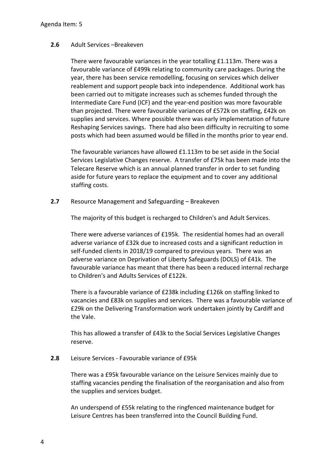## **2.6** Adult Services –Breakeven

There were favourable variances in the year totalling £1.113m. There was a favourable variance of £499k relating to community care packages. During the year, there has been service remodelling, focusing on services which deliver reablement and support people back into independence. Additional work has been carried out to mitigate increases such as schemes funded through the Intermediate Care Fund (ICF) and the year-end position was more favourable than projected. There were favourable variances of £572k on staffing, £42k on supplies and services. Where possible there was early implementation of future Reshaping Services savings. There had also been difficulty in recruiting to some posts which had been assumed would be filled in the months prior to year end.

The favourable variances have allowed £1.113m to be set aside in the Social Services Legislative Changes reserve. A transfer of £75k has been made into the Telecare Reserve which is an annual planned transfer in order to set funding aside for future years to replace the equipment and to cover any additional staffing costs.

**2.7** Resource Management and Safeguarding – Breakeven

The majority of this budget is recharged to Children's and Adult Services.

There were adverse variances of £195k. The residential homes had an overall adverse variance of £32k due to increased costs and a significant reduction in self-funded clients in 2018/19 compared to previous years. There was an adverse variance on Deprivation of Liberty Safeguards (DOLS) of £41k. The favourable variance has meant that there has been a reduced internal recharge to Children's and Adults Services of £122k.

There is a favourable variance of £238k including £126k on staffing linked to vacancies and £83k on supplies and services. There was a favourable variance of £29k on the Delivering Transformation work undertaken jointly by Cardiff and the Vale.

This has allowed a transfer of £43k to the Social Services Legislative Changes reserve.

## **2.8** Leisure Services - Favourable variance of £95k

There was a £95k favourable variance on the Leisure Services mainly due to staffing vacancies pending the finalisation of the reorganisation and also from the supplies and services budget.

An underspend of £55k relating to the ringfenced maintenance budget for Leisure Centres has been transferred into the Council Building Fund.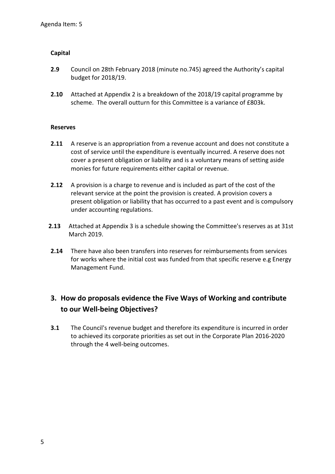## **Capital**

- **2.9** Council on 28th February 2018 (minute no.745) agreed the Authority's capital budget for 2018/19.
- **2.10** Attached at Appendix 2 is a breakdown of the 2018/19 capital programme by scheme. The overall outturn for this Committee is a variance of £803k.

## **Reserves**

- **2.11** A reserve is an appropriation from a revenue account and does not constitute a cost of service until the expenditure is eventually incurred. A reserve does not cover a present obligation or liability and is a voluntary means of setting aside monies for future requirements either capital or revenue.
- **2.12** A provision is a charge to revenue and is included as part of the cost of the relevant service at the point the provision is created. A provision covers a present obligation or liability that has occurred to a past event and is compulsory under accounting regulations.
- **2.13** Attached at Appendix 3 is a schedule showing the Committee's reserves as at 31st March 2019.
- **2.14** There have also been transfers into reserves for reimbursements from services for works where the initial cost was funded from that specific reserve e.g Energy Management Fund.

# **3. How do proposals evidence the Five Ways of Working and contribute to our Well-being Objectives?**

**3.1** The Council's revenue budget and therefore its expenditure is incurred in order to achieved its corporate priorities as set out in the Corporate Plan 2016-2020 through the 4 well-being outcomes.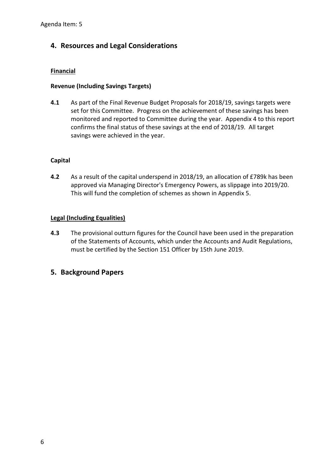# **4. Resources and Legal Considerations**

## **Financial**

## **Revenue (Including Savings Targets)**

**4.1** As part of the Final Revenue Budget Proposals for 2018/19, savings targets were set for this Committee. Progress on the achievement of these savings has been monitored and reported to Committee during the year. Appendix 4 to this report confirms the final status of these savings at the end of 2018/19. All target savings were achieved in the year.

# **Capital**

**4.2** As a result of the capital underspend in 2018/19, an allocation of £789k has been approved via Managing Director's Emergency Powers, as slippage into 2019/20. This will fund the completion of schemes as shown in Appendix 5.

## **Legal (Including Equalities)**

- **4.3** The provisional outturn figures for the Council have been used in the preparation of the Statements of Accounts, which under the Accounts and Audit Regulations, must be certified by the Section 151 Officer by 15th June 2019.
- **5. Background Papers**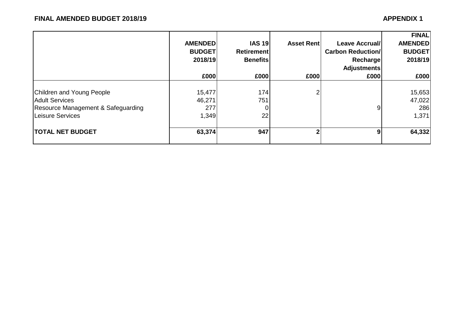|                                                        | <b>AMENDEDI</b><br><b>BUDGET</b><br>2018/19<br>£000 | <b>IAS 19</b><br><b>Retirement</b><br><b>Benefits</b><br>£000 | <b>Asset Rent</b><br>£000 | <b>Leave Accrual/</b><br><b>Carbon Reduction/</b><br>Recharge<br><b>Adjustments</b><br>£000 | <b>FINAL</b><br><b>AMENDED</b><br><b>BUDGET</b><br>2018/19<br>£000 |
|--------------------------------------------------------|-----------------------------------------------------|---------------------------------------------------------------|---------------------------|---------------------------------------------------------------------------------------------|--------------------------------------------------------------------|
| Children and Young People                              | 15,477                                              | 174                                                           |                           |                                                                                             | 15,653                                                             |
| <b>Adult Services</b>                                  | 46,271                                              | 751                                                           |                           |                                                                                             | 47,022                                                             |
| Resource Management & Safeguarding<br>Leisure Services | 277<br>1,349                                        | 0<br>22                                                       |                           | 91                                                                                          | 286<br>1,371                                                       |
| <b>TOTAL NET BUDGET</b>                                | 63,374                                              | 947                                                           |                           | 9                                                                                           | 64,332                                                             |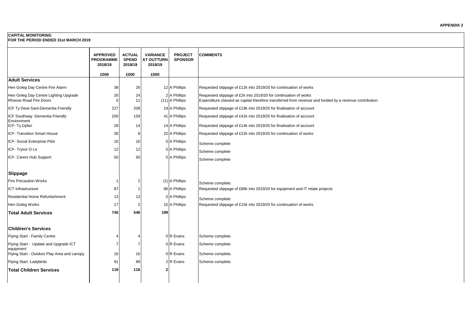#### **CAPITAL MONITORING**

**FOR THE PERIOD ENDED 31st MARCH 2019**

|                                                                 | <b>APPROVED</b><br><b>PROGRAMME</b><br>2018/19<br>£000 | <b>ACTUAL</b><br><b>SPEND</b><br>2018/19<br>£000 | <b>VARIANCE</b><br><b>AT OUTTURN</b><br>2018/19<br>£000 | <b>PROJECT</b><br><b>SPONSOR</b> | <b>COMMENTS</b>                                                                                                                                                            |
|-----------------------------------------------------------------|--------------------------------------------------------|--------------------------------------------------|---------------------------------------------------------|----------------------------------|----------------------------------------------------------------------------------------------------------------------------------------------------------------------------|
| <b>Adult Services</b>                                           |                                                        |                                                  |                                                         |                                  |                                                                                                                                                                            |
| Hen Goleg Day Centre Fire Alarm                                 | 38                                                     | 26                                               |                                                         | 12 A Phillips                    | Requested slippage of £12k into 2019/20 for continuation of works                                                                                                          |
| Hen Goleg Day Centre Lighting Upgrade<br>Rhoose Road Fire Doors | 26<br>$\Omega$                                         | 24<br>11                                         |                                                         | 2 A Phillips<br>(11) A Phillips  | Requested slippage of £2k into 2019/20 for continuation of works<br>Expenditure classed as capital therefore transferred from revenue and funded by a revenue contribution |
| ICF Ty Dewi Sant-Dementia Friendly                              | 227                                                    | 208                                              |                                                         | 19 A Phillips                    | Requested slippage of £19k into 2019/20 for finalisation of account                                                                                                        |
| ICF Southway -Dementia Friendly<br>Environment                  | 200                                                    | 159                                              |                                                         | 41 A Phillips                    | Requested slippage of £41k into 2019/20 for finalisation of account                                                                                                        |
| ICF-Ty Dyfan                                                    | 28                                                     | 14                                               |                                                         | 14 A Phillips                    | Requested slippage of £14k into 2019/20 for finalisation of account                                                                                                        |
| ICF- Transition Smart House                                     | 30                                                     | 8                                                |                                                         | 22 A Phillips                    | Requested slippage of £22k into 2019/20 for continuation of works                                                                                                          |
| ICF- Social Enterprise Pilot                                    | 16                                                     | 16                                               |                                                         | 0 A Phillips                     | Scheme complete                                                                                                                                                            |
| ICF-Trysor O Le                                                 | 12                                                     | 12                                               |                                                         | 0 A Phillips                     | Scheme complete                                                                                                                                                            |
| ICF- Carers Hub Support                                         | 50                                                     | 50                                               |                                                         | 0 A Phillips                     | Scheme complete                                                                                                                                                            |
| <b>Slippage</b>                                                 |                                                        |                                                  |                                                         |                                  |                                                                                                                                                                            |
| <b>Fire Precaution Works</b>                                    | $\overline{\mathbf{1}}$                                | 2                                                |                                                         | $(1)$ A Phillips                 | Scheme complete.                                                                                                                                                           |
| ICT Infrastructure                                              | 87                                                     |                                                  |                                                         | 86 A Phillips                    | Requested slippage of £86k into 2019/20 for equipment and IT relate projects                                                                                               |
| <b>Residential Home Refurbishment</b>                           | 13                                                     | 13                                               |                                                         | 0 A Phillips                     | Scheme complete                                                                                                                                                            |
| Hen Goleg Works                                                 | 17                                                     | $\overline{2}$                                   |                                                         | 15 A Phillips                    | Requested slippage of £15k into 2019/20 for continuation of works                                                                                                          |
| <b>Total Adult Services</b>                                     | 745                                                    | 546                                              | 199                                                     |                                  |                                                                                                                                                                            |
| <b>Children's Services</b>                                      |                                                        |                                                  |                                                         |                                  |                                                                                                                                                                            |
| Flying Start - Family Centre                                    |                                                        | $\Delta$                                         |                                                         | 0 R Evans                        | Scheme complete.                                                                                                                                                           |
| Flying Start - Update and Upgrade ICT<br>equipment              | $\overline{7}$                                         | $\overline{7}$                                   |                                                         | 0 R Evans                        | Scheme complete.                                                                                                                                                           |
| Flying Start - Outdoor Play Area and canopy                     | 16                                                     | 16                                               |                                                         | 0R Evans                         | Scheme complete.                                                                                                                                                           |
| Flying Start -Ladybirds                                         | 91                                                     | 89                                               |                                                         | 2 R Evans                        | Scheme complete.                                                                                                                                                           |
| Total Children Services                                         | 118                                                    | 116                                              |                                                         |                                  |                                                                                                                                                                            |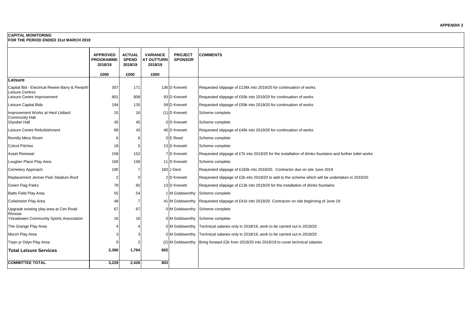# **CAPITAL MONITORING**

**FOR THE PERIOD ENDED 31st MARCH 2019**

|                                                                    | <b>APPROVED</b><br><b>PROGRAMME</b><br>2018/19 | <b>ACTUAL</b><br><b>SPEND</b><br>2018/19 | <b>VARIANCE</b><br><b>AT OUTTURN</b><br>2018/19 | <b>PROJECT</b><br><b>SPONSOR</b> | <b>COMMENTS</b>                                                                                          |
|--------------------------------------------------------------------|------------------------------------------------|------------------------------------------|-------------------------------------------------|----------------------------------|----------------------------------------------------------------------------------------------------------|
|                                                                    | £000                                           | £000                                     | £000                                            |                                  |                                                                                                          |
| Leisure                                                            |                                                |                                          |                                                 |                                  |                                                                                                          |
| Capital Bid - Electrical Rewire Barry & Penarth<br>Leisure Centres | 307                                            | 171                                      |                                                 | 136 D Knevett                    | Requested slippage of £136k into 2019/20 for continuation of works                                       |
| Leisure Centre Improvement                                         | 901                                            | 808                                      |                                                 | 93 D Knevett                     | Requested slippage of £93k into 2019/20 for continuation of works                                        |
| Leisure Capital Bids                                               | 194                                            | 135                                      |                                                 | 59 D Knevett                     | Requested slippage of £59k into 2019/20 for continuation of works                                        |
| Improvement Works at Heol Llidiard<br><b>Community Hall</b>        | 15                                             | 16                                       |                                                 | (1) D Knevett                    | Scheme complete                                                                                          |
| <b>Glyndwr Hall</b>                                                | 45                                             | 45                                       |                                                 | 0 D Knevett                      | Scheme complete                                                                                          |
| Leisure Centre Refurbishment                                       | 89                                             | 43                                       |                                                 | 46 D Knevett                     | Requested slippage of £46k into 2019/20 for continuation of works                                        |
| Romilly Mess Room                                                  | 6                                              | 6                                        |                                                 | 0E Reed                          | Scheme complete                                                                                          |
| <b>Colcot Pitches</b>                                              | 18                                             | 5                                        |                                                 | 13 D Knevett                     | Scheme complete                                                                                          |
| Asset Renewal                                                      | 159                                            | 152                                      |                                                 | <b>7</b> D Knevett               | Requested slippage of £7k into 2019/20 for the installation of drinks fountains and further toilet works |
| Lougher Place Play Area                                            | 169                                            | 158                                      |                                                 | 11 D Knevett                     | Scheme complete                                                                                          |
| Cemetery Approach                                                  | 190                                            | 7                                        |                                                 | 183 J Dent                       | Requested slippage of £183k into 2019/20. Contractor due on site June 2019                               |
| Replacement Jenner Park Stadium Roof                               | $\overline{2}$                                 | $\Omega$                                 |                                                 | 2 D Knevett                      | Requested slippage of £2k into 2019/20 to add to the scheme which will be undertaken in 2019/20          |
| <b>Green Flag Parks</b>                                            | 78                                             | 65                                       |                                                 | 13 D Knevett                     | Requested slippage of £13k into 2019/20 for the installation of drinks fountains                         |
| <b>Batts Field Play Area</b>                                       | 55                                             | 54                                       |                                                 | 1 M Goldsworthy                  | Scheme complete                                                                                          |
| Colwinston Play Area                                               | 48                                             | -7                                       |                                                 | 41 M Goldsworthy                 | Requested slippage of £41k into 2019/20. Contractor on site beginning of June 19                         |
| Upgrade existing play area at Ceri Road                            | 67                                             | 67                                       |                                                 | 0 M Goldsworthy                  | Scheme complete                                                                                          |
| Rhoose<br><b>Ystradowen Community Sports Association</b>           | 16                                             | 16                                       |                                                 |                                  | 0 M Goldsworthy Scheme complete                                                                          |
| The Grange Play Area                                               |                                                | 4                                        |                                                 | 0 M Goldsworthy                  | Technical salaries only in 2018/19, work to be carried out in 2019/20                                    |
| Murch Play Area                                                    |                                                | З                                        |                                                 |                                  | 0 M Goldsworthy   Technical salaries only in 2018/19, work to be carried out in 2019/20                  |
| Twyn yr Odyn Play Area                                             |                                                | 2                                        |                                                 | (2) M Goldsworthy                | Bring forward £2k from 2019/20 into 2018/19 to cover technical salaries                                  |
| <b>Total Leisure Services</b>                                      | 2,366                                          | 1,764                                    | 602                                             |                                  |                                                                                                          |
| <b>COMMITTEE TOTAL</b>                                             | 3,229                                          | 2,426                                    | 803                                             |                                  |                                                                                                          |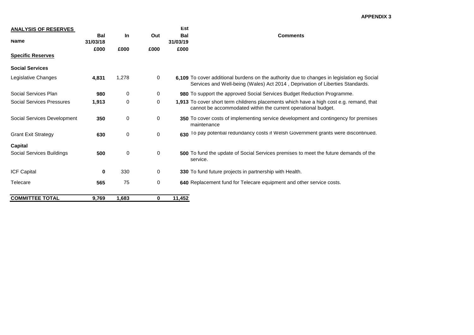#### **APPENDIX 3**

| <b>ANALYSIS OF RESERVES</b>      |                        |             |      | Est                    |                                                                                                                                                                             |
|----------------------------------|------------------------|-------------|------|------------------------|-----------------------------------------------------------------------------------------------------------------------------------------------------------------------------|
| <b>Name</b>                      | <b>Bal</b><br>31/03/18 | In          | Out  | <b>Bal</b><br>31/03/19 | <b>Comments</b>                                                                                                                                                             |
| <b>Specific Reserves</b>         | £000                   | £000        | £000 | £000                   |                                                                                                                                                                             |
|                                  |                        |             |      |                        |                                                                                                                                                                             |
| <b>Social Services</b>           |                        |             |      |                        |                                                                                                                                                                             |
| Legislative Changes              | 4,831                  | 1,278       | 0    |                        | 6,109 To cover additional burdens on the authority due to changes in legislation eg Social<br>Services and Well-being (Wales) Act 2014, Deprivation of Liberties Standards. |
| Social Services Plan             | 980                    | 0           | 0    |                        | <b>980</b> To support the approved Social Services Budget Reduction Programme.                                                                                              |
| <b>Social Services Pressures</b> | 1,913                  | $\mathbf 0$ | 0    |                        | 1,913 To cover short term childrens placements which have a high cost e.g. remand, that<br>cannot be accommodated within the current operational budget.                    |
| Social Services Development      | 350                    | 0           | 0    |                        | 350 To cover costs of implementing service development and contingency for premises<br>maintenance                                                                          |
| <b>Grant Exit Strategy</b>       | 630                    | $\mathbf 0$ | 0    | 630                    | To pay potential redundancy costs if Welsh Government grants were discontinued.                                                                                             |
| <b>Capital</b>                   |                        |             |      |                        |                                                                                                                                                                             |
| Social Services Buildings        | 500                    | 0           | 0    |                        | <b>500</b> To fund the update of Social Services premises to meet the future demands of the<br>service.                                                                     |
| ICF Capital                      | 0                      | 330         | 0    |                        | <b>330</b> To fund future projects in partnership with Health.                                                                                                              |
| Telecare                         | 565                    | 75          | 0    |                        | 640 Replacement fund for Telecare equipment and other service costs.                                                                                                        |
| <b>COMMITTEE TOTAL</b>           | 9,769                  | 1,683       | 0    | 11,452                 |                                                                                                                                                                             |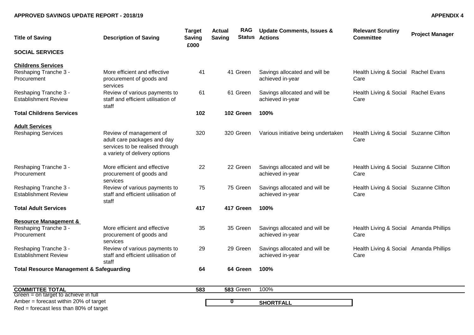### **APPROVED SAVINGS UPDATE REPORT - 2018/19 APPENDIX 4**

| <b>Title of Saving</b>                                                   | <b>Description of Saving</b>                                                                                               | <b>Target</b><br><b>Saving</b><br>£000 | <b>Actual</b><br><b>Saving</b> | <b>RAG</b><br><b>Status</b> | <b>Update Comments, Issues &amp;</b><br><b>Actions</b> | <b>Relevant Scrutiny</b><br><b>Committee</b>   | <b>Project Manager</b> |
|--------------------------------------------------------------------------|----------------------------------------------------------------------------------------------------------------------------|----------------------------------------|--------------------------------|-----------------------------|--------------------------------------------------------|------------------------------------------------|------------------------|
| <b>SOCIAL SERVICES</b>                                                   |                                                                                                                            |                                        |                                |                             |                                                        |                                                |                        |
| <b>Childrens Services</b><br>Reshaping Tranche 3 -<br>Procurement        | More efficient and effective<br>procurement of goods and<br>services                                                       | 41                                     | 41 Green                       |                             | Savings allocated and will be<br>achieved in-year      | Health Living & Social Rachel Evans<br>Care    |                        |
| Reshaping Tranche 3 -<br><b>Establishment Review</b>                     | Review of various payments to<br>staff and efficient utilisation of<br>staff                                               | 61                                     | 61 Green                       |                             | Savings allocated and will be<br>achieved in-year      | Health Living & Social Rachel Evans<br>Care    |                        |
| <b>Total Childrens Services</b>                                          |                                                                                                                            | 102                                    | 102 Green                      |                             | 100%                                                   |                                                |                        |
| <b>Adult Services</b><br><b>Reshaping Services</b>                       | Review of management of<br>adult care packages and day<br>services to be realised through<br>a variety of delivery options | 320                                    | 320 Green                      |                             | Various initiative being undertaken                    | Health Living & Social Suzanne Clifton<br>Care |                        |
| Reshaping Tranche 3 -<br>Procurement                                     | More efficient and effective<br>procurement of goods and<br>services                                                       | 22                                     | 22 Green                       |                             | Savings allocated and will be<br>achieved in-year      | Health Living & Social Suzanne Clifton<br>Care |                        |
| Reshaping Tranche 3 -<br><b>Establishment Review</b>                     | Review of various payments to<br>staff and efficient utilisation of<br>staff                                               | 75                                     | 75 Green                       |                             | Savings allocated and will be<br>achieved in-year      | Health Living & Social Suzanne Clifton<br>Care |                        |
| <b>Total Adult Services</b>                                              |                                                                                                                            | 417                                    | 417 Green                      |                             | 100%                                                   |                                                |                        |
| <b>Resource Management &amp;</b><br>Reshaping Tranche 3 -<br>Procurement | More efficient and effective<br>procurement of goods and<br>services                                                       | 35                                     | 35 Green                       |                             | Savings allocated and will be<br>achieved in-year      | Health Living & Social Amanda Phillips<br>Care |                        |
| Reshaping Tranche 3 -<br><b>Establishment Review</b>                     | Review of various payments to<br>staff and efficient utilisation of<br>staff                                               | 29                                     | 29 Green                       |                             | Savings allocated and will be<br>achieved in-year      | Health Living & Social Amanda Phillips<br>Care |                        |
| <b>Total Resource Management &amp; Safeguarding</b>                      |                                                                                                                            | 64                                     | 64 Green                       |                             | 100%                                                   |                                                |                        |

| <b>COMMITTEE TOTAL</b>                 | 583 | 583 Green | 100%      |  |
|----------------------------------------|-----|-----------|-----------|--|
| Green $=$ on target to achieve in full |     |           |           |  |
| Amber = forecast within 20% of target  |     |           | SHORTFALL |  |
| Red = forecast less than 80% of target |     |           |           |  |